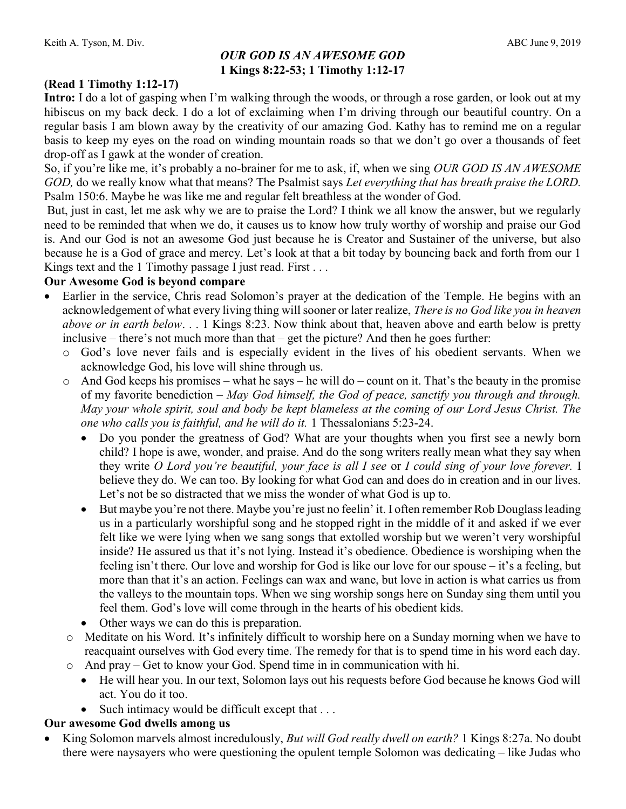### OUR GOD IS AN AWESOME GOD 1 Kings 8:22-53; 1 Timothy 1:12-17

# (Read 1 Timothy 1:12-17)

Intro: I do a lot of gasping when I'm walking through the woods, or through a rose garden, or look out at my hibiscus on my back deck. I do a lot of exclaiming when I'm driving through our beautiful country. On a regular basis I am blown away by the creativity of our amazing God. Kathy has to remind me on a regular basis to keep my eyes on the road on winding mountain roads so that we don't go over a thousands of feet drop-off as I gawk at the wonder of creation.

So, if you're like me, it's probably a no-brainer for me to ask, if, when we sing OUR GOD IS AN AWESOME GOD, do we really know what that means? The Psalmist says Let everything that has breath praise the LORD. Psalm 150:6. Maybe he was like me and regular felt breathless at the wonder of God.

 But, just in cast, let me ask why we are to praise the Lord? I think we all know the answer, but we regularly need to be reminded that when we do, it causes us to know how truly worthy of worship and praise our God is. And our God is not an awesome God just because he is Creator and Sustainer of the universe, but also because he is a God of grace and mercy. Let's look at that a bit today by bouncing back and forth from our 1 Kings text and the 1 Timothy passage I just read. First . . .

#### Our Awesome God is beyond compare

- Earlier in the service, Chris read Solomon's prayer at the dedication of the Temple. He begins with an acknowledgement of what every living thing will sooner or later realize, There is no God like you in heaven above or in earth below.  $\ldots$  1 Kings 8:23. Now think about that, heaven above and earth below is pretty inclusive – there's not much more than that – get the picture? And then he goes further:
	- o God's love never fails and is especially evident in the lives of his obedient servants. When we acknowledge God, his love will shine through us.
	- $\circ$  And God keeps his promises what he says he will do count on it. That's the beauty in the promise of my favorite benediction – May God himself, the God of peace, sanctify you through and through. May your whole spirit, soul and body be kept blameless at the coming of our Lord Jesus Christ. The one who calls you is faithful, and he will do it. 1 Thessalonians 5:23-24.
		- Do you ponder the greatness of God? What are your thoughts when you first see a newly born child? I hope is awe, wonder, and praise. And do the song writers really mean what they say when they write O Lord you're beautiful, your face is all I see or I could sing of your love forever. I believe they do. We can too. By looking for what God can and does do in creation and in our lives. Let's not be so distracted that we miss the wonder of what God is up to.
		- But maybe you're not there. Maybe you're just no feelin' it. I often remember Rob Douglass leading us in a particularly worshipful song and he stopped right in the middle of it and asked if we ever felt like we were lying when we sang songs that extolled worship but we weren't very worshipful inside? He assured us that it's not lying. Instead it's obedience. Obedience is worshiping when the feeling isn't there. Our love and worship for God is like our love for our spouse – it's a feeling, but more than that it's an action. Feelings can wax and wane, but love in action is what carries us from the valleys to the mountain tops. When we sing worship songs here on Sunday sing them until you feel them. God's love will come through in the hearts of his obedient kids.
		- Other ways we can do this is preparation.
	- o Meditate on his Word. It's infinitely difficult to worship here on a Sunday morning when we have to reacquaint ourselves with God every time. The remedy for that is to spend time in his word each day.
	- o And pray Get to know your God. Spend time in in communication with hi.
		- He will hear you. In our text, Solomon lays out his requests before God because he knows God will act. You do it too.
		- Such intimacy would be difficult except that . . .

#### Our awesome God dwells among us

• King Solomon marvels almost incredulously, But will God really dwell on earth? 1 Kings 8:27a. No doubt there were naysayers who were questioning the opulent temple Solomon was dedicating – like Judas who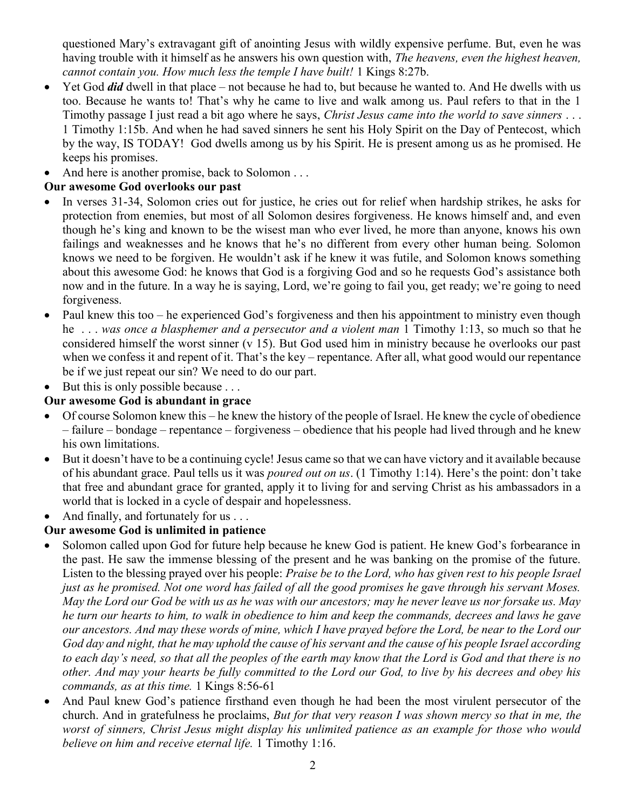questioned Mary's extravagant gift of anointing Jesus with wildly expensive perfume. But, even he was having trouble with it himself as he answers his own question with, The heavens, even the highest heaven, cannot contain you. How much less the temple I have built! 1 Kings 8:27b.

- $\bullet$  Yet God *did* dwell in that place not because he had to, but because he wanted to. And He dwells with us too. Because he wants to! That's why he came to live and walk among us. Paul refers to that in the 1 Timothy passage I just read a bit ago where he says, Christ Jesus came into the world to save sinners ... 1 Timothy 1:15b. And when he had saved sinners he sent his Holy Spirit on the Day of Pentecost, which by the way, IS TODAY! God dwells among us by his Spirit. He is present among us as he promised. He keeps his promises.
- And here is another promise, back to Solomon . . .

## Our awesome God overlooks our past

- In verses 31-34, Solomon cries out for justice, he cries out for relief when hardship strikes, he asks for protection from enemies, but most of all Solomon desires forgiveness. He knows himself and, and even though he's king and known to be the wisest man who ever lived, he more than anyone, knows his own failings and weaknesses and he knows that he's no different from every other human being. Solomon knows we need to be forgiven. He wouldn't ask if he knew it was futile, and Solomon knows something about this awesome God: he knows that God is a forgiving God and so he requests God's assistance both now and in the future. In a way he is saying, Lord, we're going to fail you, get ready; we're going to need forgiveness.
- Paul knew this too he experienced God's forgiveness and then his appointment to ministry even though he ... was once a blasphemer and a persecutor and a violent man 1 Timothy 1:13, so much so that he considered himself the worst sinner (v 15). But God used him in ministry because he overlooks our past when we confess it and repent of it. That's the key – repentance. After all, what good would our repentance be if we just repeat our sin? We need to do our part.

 $\bullet$  But this is only possible because ...

### Our awesome God is abundant in grace

- Of course Solomon knew this he knew the history of the people of Israel. He knew the cycle of obedience – failure – bondage – repentance – forgiveness – obedience that his people had lived through and he knew his own limitations.
- But it doesn't have to be a continuing cycle! Jesus came so that we can have victory and it available because of his abundant grace. Paul tells us it was *poured out on us*. (1 Timothy 1:14). Here's the point: don't take that free and abundant grace for granted, apply it to living for and serving Christ as his ambassadors in a world that is locked in a cycle of despair and hopelessness.
- And finally, and fortunately for us . . .

## Our awesome God is unlimited in patience

- Solomon called upon God for future help because he knew God is patient. He knew God's forbearance in the past. He saw the immense blessing of the present and he was banking on the promise of the future. Listen to the blessing prayed over his people: Praise be to the Lord, who has given rest to his people Israel just as he promised. Not one word has failed of all the good promises he gave through his servant Moses. May the Lord our God be with us as he was with our ancestors; may he never leave us nor forsake us. May he turn our hearts to him, to walk in obedience to him and keep the commands, decrees and laws he gave our ancestors. And may these words of mine, which I have prayed before the Lord, be near to the Lord our God day and night, that he may uphold the cause of his servant and the cause of his people Israel according to each day's need, so that all the peoples of the earth may know that the Lord is God and that there is no other. And may your hearts be fully committed to the Lord our God, to live by his decrees and obey his commands, as at this time. 1 Kings 8:56-61
- And Paul knew God's patience firsthand even though he had been the most virulent persecutor of the church. And in gratefulness he proclaims, But for that very reason I was shown mercy so that in me, the worst of sinners, Christ Jesus might display his unlimited patience as an example for those who would believe on him and receive eternal life. 1 Timothy 1:16.